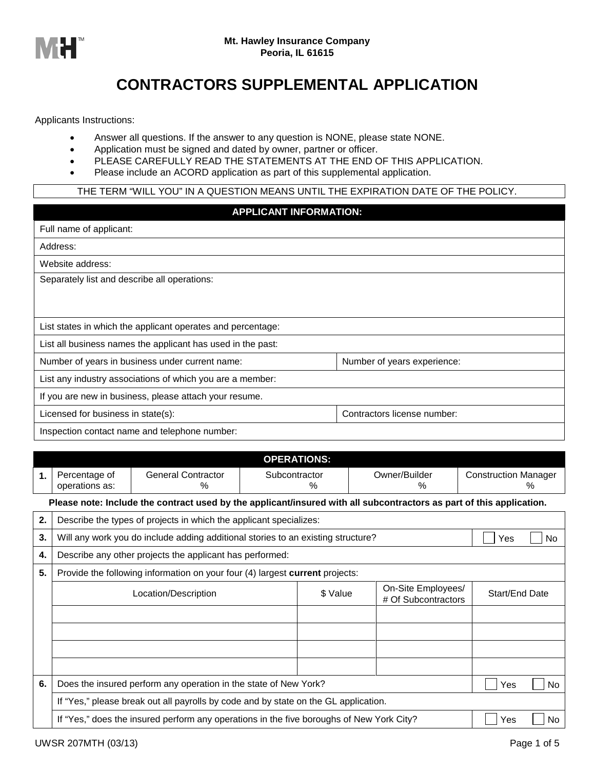

## **CONTRACTORS SUPPLEMENTAL APPLICATION**

Applicants Instructions:

- Answer all questions. If the answer to any question is NONE, please state NONE.
- Application must be signed and dated by owner, partner or officer.
- PLEASE CAREFULLY READ THE STATEMENTS AT THE END OF THIS APPLICATION.
- Please include an ACORD application as part of this supplemental application.

## THE TERM "WILL YOU" IN A QUESTION MEANS UNTIL THE EXPIRATION DATE OF THE POLICY.

## **APPLICANT INFORMATION:**

| Full name of applicant:                                                        |                             |  |  |
|--------------------------------------------------------------------------------|-----------------------------|--|--|
| Address:                                                                       |                             |  |  |
| Website address:                                                               |                             |  |  |
| Separately list and describe all operations:                                   |                             |  |  |
|                                                                                |                             |  |  |
|                                                                                |                             |  |  |
| List states in which the applicant operates and percentage:                    |                             |  |  |
| List all business names the applicant has used in the past:                    |                             |  |  |
| Number of years in business under current name:<br>Number of years experience: |                             |  |  |
| List any industry associations of which you are a member:                      |                             |  |  |
| If you are new in business, please attach your resume.                         |                             |  |  |
| Licensed for business in state(s):                                             | Contractors license number: |  |  |
| وستماعه والمستحدث والمتمالية المتورد والمحاوية والمتحدث والمتلقح والمتحامين    |                             |  |  |

Inspection contact name and telephone number:

|    | <b>OPERATIONS:</b>                                                                                                   |                                                                                  |                                          |  |  |                                     |  |  |  |  |
|----|----------------------------------------------------------------------------------------------------------------------|----------------------------------------------------------------------------------|------------------------------------------|--|--|-------------------------------------|--|--|--|--|
| 1. | Percentage of<br>operations as:                                                                                      | <b>General Contractor</b><br>$\%$                                                | Owner/Builder<br>Subcontractor<br>℅<br>℅ |  |  | <b>Construction Manager</b><br>$\%$ |  |  |  |  |
|    | Please note: Include the contract used by the applicant/insured with all subcontractors as part of this application. |                                                                                  |                                          |  |  |                                     |  |  |  |  |
| 2. |                                                                                                                      | Describe the types of projects in which the applicant specializes:               |                                          |  |  |                                     |  |  |  |  |
| 3. |                                                                                                                      | Will any work you do include adding additional stories to an existing structure? |                                          |  |  | Yes<br>No                           |  |  |  |  |
| 4. | Describe any other projects the applicant has performed:                                                             |                                                                                  |                                          |  |  |                                     |  |  |  |  |
| 5. | Provide the following information on your four (4) largest current projects:                                         |                                                                                  |                                          |  |  |                                     |  |  |  |  |
|    |                                                                                                                      | On-Site Employees/<br>Start/End Date<br># Of Subcontractors                      |                                          |  |  |                                     |  |  |  |  |
|    |                                                                                                                      |                                                                                  |                                          |  |  |                                     |  |  |  |  |
|    |                                                                                                                      |                                                                                  |                                          |  |  |                                     |  |  |  |  |
|    |                                                                                                                      |                                                                                  |                                          |  |  |                                     |  |  |  |  |
|    |                                                                                                                      |                                                                                  |                                          |  |  |                                     |  |  |  |  |
| 6. | Does the insured perform any operation in the state of New York?                                                     | Yes<br><b>No</b>                                                                 |                                          |  |  |                                     |  |  |  |  |
|    | If "Yes," please break out all payrolls by code and by state on the GL application.                                  |                                                                                  |                                          |  |  |                                     |  |  |  |  |
|    | If "Yes," does the insured perform any operations in the five boroughs of New York City?<br>Yes<br>N <sub>o</sub>    |                                                                                  |                                          |  |  |                                     |  |  |  |  |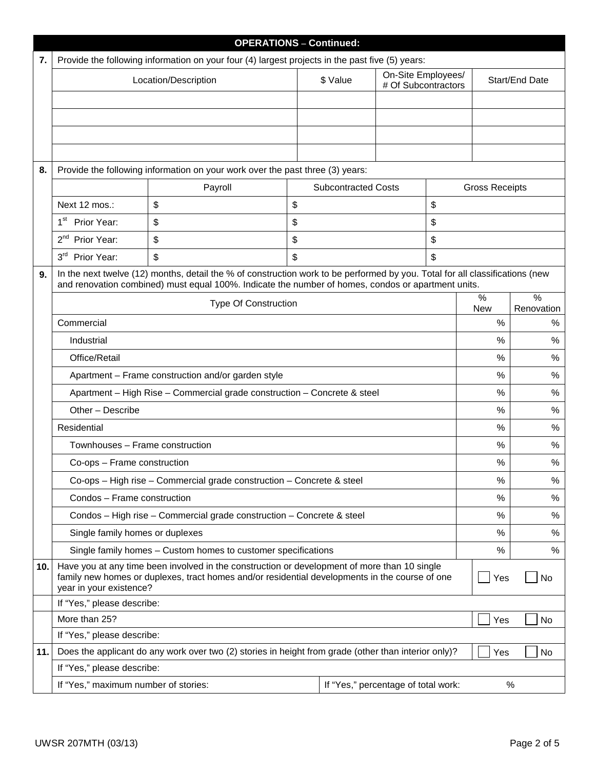|     |                                                                                                 |                                                                                                                                                                                                                                    | <b>OPERATIONS - Continued:</b> |                                     |                                           |    |                       |                             |
|-----|-------------------------------------------------------------------------------------------------|------------------------------------------------------------------------------------------------------------------------------------------------------------------------------------------------------------------------------------|--------------------------------|-------------------------------------|-------------------------------------------|----|-----------------------|-----------------------------|
| 7.  | Provide the following information on your four (4) largest projects in the past five (5) years: |                                                                                                                                                                                                                                    |                                |                                     |                                           |    |                       |                             |
|     |                                                                                                 | Location/Description                                                                                                                                                                                                               |                                | \$ Value                            | On-Site Employees/<br># Of Subcontractors |    |                       | Start/End Date              |
|     |                                                                                                 |                                                                                                                                                                                                                                    |                                |                                     |                                           |    |                       |                             |
|     |                                                                                                 |                                                                                                                                                                                                                                    |                                |                                     |                                           |    |                       |                             |
|     |                                                                                                 |                                                                                                                                                                                                                                    |                                |                                     |                                           |    |                       |                             |
|     |                                                                                                 |                                                                                                                                                                                                                                    |                                |                                     |                                           |    |                       |                             |
| 8.  |                                                                                                 | Provide the following information on your work over the past three (3) years:                                                                                                                                                      |                                |                                     |                                           |    |                       |                             |
|     |                                                                                                 | Payroll                                                                                                                                                                                                                            |                                | <b>Subcontracted Costs</b>          |                                           |    | <b>Gross Receipts</b> |                             |
|     | Next 12 mos.:                                                                                   | \$                                                                                                                                                                                                                                 | \$                             |                                     |                                           | \$ |                       |                             |
|     | 1 <sup>st</sup><br>Prior Year:                                                                  | \$                                                                                                                                                                                                                                 | \$                             |                                     |                                           | \$ |                       |                             |
|     | 2 <sup>nd</sup><br>Prior Year:                                                                  | \$                                                                                                                                                                                                                                 | \$                             |                                     |                                           | \$ |                       |                             |
|     | 3 <sup>rd</sup><br>Prior Year:                                                                  | \$                                                                                                                                                                                                                                 | \$                             |                                     |                                           | \$ |                       |                             |
| 9.  |                                                                                                 | In the next twelve (12) months, detail the % of construction work to be performed by you. Total for all classifications (new<br>and renovation combined) must equal 100%. Indicate the number of homes, condos or apartment units. |                                |                                     |                                           |    |                       |                             |
|     |                                                                                                 | <b>Type Of Construction</b>                                                                                                                                                                                                        |                                |                                     |                                           |    | %<br><b>New</b>       | $\frac{0}{0}$<br>Renovation |
|     | Commercial                                                                                      |                                                                                                                                                                                                                                    |                                |                                     |                                           |    | %                     | %                           |
|     | Industrial                                                                                      |                                                                                                                                                                                                                                    |                                |                                     |                                           |    | %                     | %                           |
|     | Office/Retail                                                                                   |                                                                                                                                                                                                                                    |                                |                                     |                                           |    | %                     | %                           |
|     | Apartment - Frame construction and/or garden style                                              |                                                                                                                                                                                                                                    |                                |                                     |                                           |    |                       | %                           |
|     | Apartment - High Rise - Commercial grade construction - Concrete & steel                        |                                                                                                                                                                                                                                    |                                |                                     |                                           |    | %                     | %                           |
|     | Other - Describe                                                                                |                                                                                                                                                                                                                                    |                                |                                     |                                           |    | %                     | %                           |
|     | Residential                                                                                     |                                                                                                                                                                                                                                    |                                |                                     |                                           |    | %                     | %                           |
|     | Townhouses - Frame construction                                                                 |                                                                                                                                                                                                                                    |                                |                                     |                                           |    | %                     | %                           |
|     | Co-ops - Frame construction                                                                     |                                                                                                                                                                                                                                    |                                |                                     |                                           |    | %                     | %                           |
|     |                                                                                                 | Co-ops - High rise - Commercial grade construction - Concrete & steel                                                                                                                                                              |                                |                                     |                                           |    | $\%$                  | %                           |
|     | Condos - Frame construction                                                                     |                                                                                                                                                                                                                                    |                                |                                     |                                           |    | $\%$                  | %                           |
|     |                                                                                                 | Condos - High rise - Commercial grade construction - Concrete & steel                                                                                                                                                              |                                |                                     |                                           |    | $\%$                  | %                           |
|     | Single family homes or duplexes                                                                 |                                                                                                                                                                                                                                    |                                |                                     |                                           |    | $\%$                  | %                           |
|     |                                                                                                 | Single family homes - Custom homes to customer specifications                                                                                                                                                                      |                                |                                     |                                           |    | $\%$                  | %                           |
| 10. | year in your existence?                                                                         | Have you at any time been involved in the construction or development of more than 10 single<br>family new homes or duplexes, tract homes and/or residential developments in the course of one                                     |                                |                                     |                                           |    | Yes                   | No                          |
|     | If "Yes," please describe:                                                                      |                                                                                                                                                                                                                                    |                                |                                     |                                           |    |                       |                             |
|     | More than 25?                                                                                   |                                                                                                                                                                                                                                    |                                |                                     |                                           |    | Yes                   | No                          |
|     | If "Yes," please describe:                                                                      |                                                                                                                                                                                                                                    |                                |                                     |                                           |    |                       |                             |
| 11. |                                                                                                 | Does the applicant do any work over two (2) stories in height from grade (other than interior only)?                                                                                                                               |                                |                                     |                                           |    | Yes                   | No                          |
|     | If "Yes," please describe:                                                                      |                                                                                                                                                                                                                                    |                                |                                     |                                           |    |                       |                             |
|     | If "Yes," maximum number of stories:                                                            |                                                                                                                                                                                                                                    |                                | If "Yes," percentage of total work: |                                           |    |                       | $\%$                        |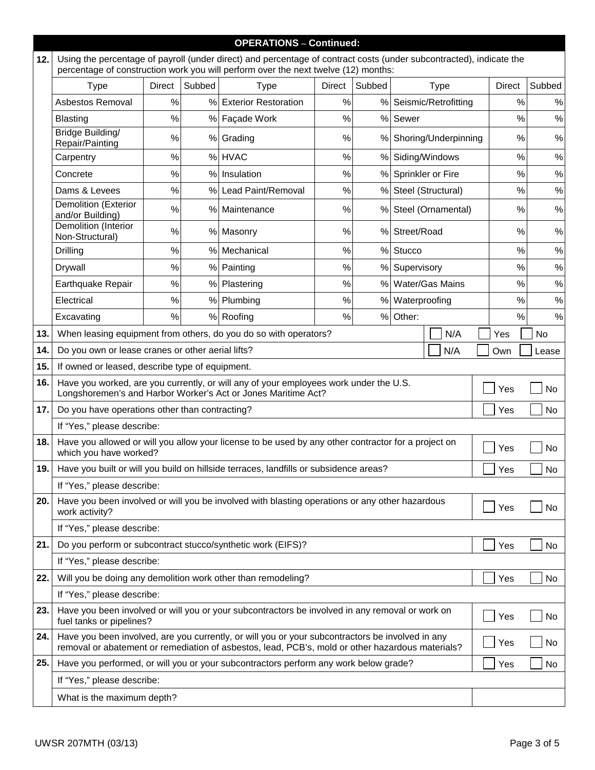|      | <b>OPERATIONS - Continued:</b>                                                                                                                                                                                    |        |        |                                                                                                |               |        |                        |               |        |
|------|-------------------------------------------------------------------------------------------------------------------------------------------------------------------------------------------------------------------|--------|--------|------------------------------------------------------------------------------------------------|---------------|--------|------------------------|---------------|--------|
| 12.  | Using the percentage of payroll (under direct) and percentage of contract costs (under subcontracted), indicate the<br>percentage of construction work you will perform over the next twelve (12) months:         |        |        |                                                                                                |               |        |                        |               |        |
|      | <b>Type</b>                                                                                                                                                                                                       | Direct | Subbed | <b>Type</b>                                                                                    | <b>Direct</b> | Subbed | <b>Type</b>            | <b>Direct</b> | Subbed |
|      | Asbestos Removal                                                                                                                                                                                                  | %      | %      | <b>Exterior Restoration</b>                                                                    | $\%$          |        | % Seismic/Retrofitting | %             | ℅      |
|      | <b>Blasting</b>                                                                                                                                                                                                   | %      |        | % Façade Work                                                                                  | %             |        | % Sewer                | $\%$          | $\%$   |
|      | Bridge Building/<br>Repair/Painting                                                                                                                                                                               | %      |        | % Grading                                                                                      | %             |        | % Shoring/Underpinning | %             | $\%$   |
|      | Carpentry                                                                                                                                                                                                         | %      | $\%$   | <b>HVAC</b>                                                                                    | %             | %      | Siding/Windows         | $\%$          | $\%$   |
|      | Concrete                                                                                                                                                                                                          | %      | %      | Insulation                                                                                     | %             |        | % Sprinkler or Fire    | $\%$          | $\%$   |
|      | Dams & Levees                                                                                                                                                                                                     | %      | %      | Lead Paint/Removal                                                                             | %             |        | % Steel (Structural)   | %             | $\%$   |
|      | <b>Demolition (Exterior</b><br>and/or Building)                                                                                                                                                                   | %      |        | % Maintenance                                                                                  | %             |        | % Steel (Ornamental)   | %             | $\%$   |
|      | Demolition (Interior<br>Non-Structural)                                                                                                                                                                           | %      |        | % Masonry                                                                                      | %             |        | % Street/Road          | %             | $\%$   |
|      | Drilling                                                                                                                                                                                                          | $\%$   | %      | Mechanical                                                                                     | %             | %      | Stucco                 | $\%$          | $\%$   |
|      | Drywall                                                                                                                                                                                                           | %      | $\%$   | Painting                                                                                       | %             | $\%$   | Supervisory            | $\%$          | $\%$   |
|      | Earthquake Repair                                                                                                                                                                                                 | %      | %      | Plastering                                                                                     | %             | $\%$   | Water/Gas Mains        | $\%$          | $\%$   |
|      | Electrical                                                                                                                                                                                                        | $\%$   |        | % Plumbing                                                                                     | $\%$          | %      | Waterproofing          | %             | $\%$   |
|      | Excavating                                                                                                                                                                                                        | $\%$   |        | % Roofing                                                                                      | $\%$          | $\%$   | Other:                 | $\%$          | $\%$   |
| 13.  | When leasing equipment from others, do you do so with operators?<br>No<br>N/A<br>Yes                                                                                                                              |        |        |                                                                                                |               |        |                        |               |        |
| 14.  | Do you own or lease cranes or other aerial lifts?<br>N/A<br>Own<br>Lease                                                                                                                                          |        |        |                                                                                                |               |        |                        |               |        |
| 15.  | If owned or leased, describe type of equipment.                                                                                                                                                                   |        |        |                                                                                                |               |        |                        |               |        |
| 16.  | Have you worked, are you currently, or will any of your employees work under the U.S.<br>Yes<br>No<br>Longshoremen's and Harbor Worker's Act or Jones Maritime Act?                                               |        |        |                                                                                                |               |        |                        |               |        |
| 17.  | Do you have operations other than contracting?<br>Yes<br>No                                                                                                                                                       |        |        |                                                                                                |               |        |                        |               |        |
|      | If "Yes," please describe:                                                                                                                                                                                        |        |        |                                                                                                |               |        |                        |               |        |
| 18.1 | Have you allowed or will you allow your license to be used by any other contractor for a project on<br>No<br>Yes<br>which you have worked?                                                                        |        |        |                                                                                                |               |        |                        |               |        |
| 19.1 | Have you built or will you build on hillside terraces, landfills or subsidence areas?<br>Yes<br>No                                                                                                                |        |        |                                                                                                |               |        |                        |               |        |
|      | If "Yes," please describe:                                                                                                                                                                                        |        |        |                                                                                                |               |        |                        |               |        |
| 20.  | work activity?                                                                                                                                                                                                    |        |        | Have you been involved or will you be involved with blasting operations or any other hazardous |               |        |                        | Yes           | No     |
|      | If "Yes," please describe:                                                                                                                                                                                        |        |        |                                                                                                |               |        |                        |               |        |
| 21.  |                                                                                                                                                                                                                   |        |        | Do you perform or subcontract stucco/synthetic work (EIFS)?                                    |               |        |                        | Yes           | No     |
|      | If "Yes," please describe:                                                                                                                                                                                        |        |        |                                                                                                |               |        |                        |               |        |
| 22.  |                                                                                                                                                                                                                   |        |        | Will you be doing any demolition work other than remodeling?                                   |               |        |                        | Yes           | No     |
|      | If "Yes," please describe:                                                                                                                                                                                        |        |        |                                                                                                |               |        |                        |               |        |
| 23.  | Have you been involved or will you or your subcontractors be involved in any removal or work on<br>Yes<br>No<br>fuel tanks or pipelines?                                                                          |        |        |                                                                                                |               |        |                        |               |        |
| 24.  | Have you been involved, are you currently, or will you or your subcontractors be involved in any<br>Yes<br>No<br>removal or abatement or remediation of asbestos, lead, PCB's, mold or other hazardous materials? |        |        |                                                                                                |               |        |                        |               |        |
| 25.  | Have you performed, or will you or your subcontractors perform any work below grade?<br>Yes                                                                                                                       |        |        |                                                                                                |               | No     |                        |               |        |
|      | If "Yes," please describe:                                                                                                                                                                                        |        |        |                                                                                                |               |        |                        |               |        |
|      | What is the maximum depth?                                                                                                                                                                                        |        |        |                                                                                                |               |        |                        |               |        |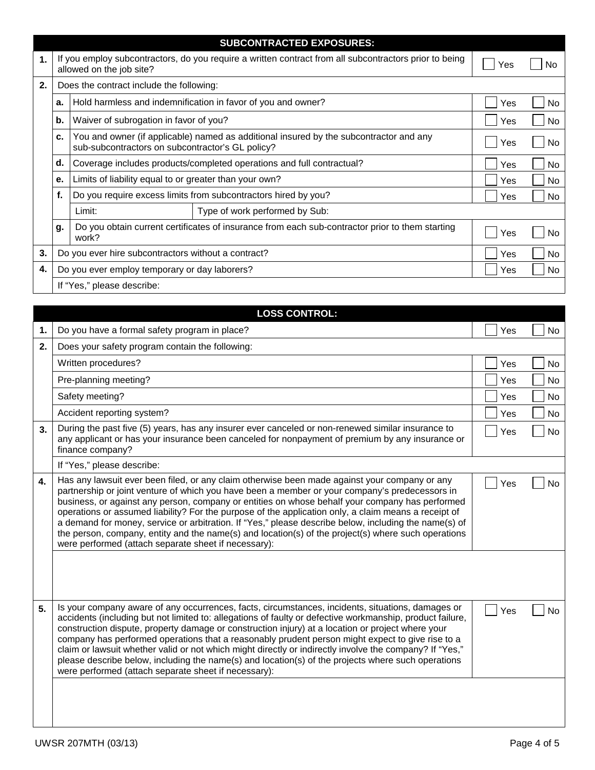|    | <b>SUBCONTRACTED EXPOSURES:</b>                      |                                                                                                                                            |                                                                                                 |           |           |  |  |  |  |  |
|----|------------------------------------------------------|--------------------------------------------------------------------------------------------------------------------------------------------|-------------------------------------------------------------------------------------------------|-----------|-----------|--|--|--|--|--|
| 1. |                                                      | If you employ subcontractors, do you require a written contract from all subcontractors prior to being<br>allowed on the job site?         | Yes                                                                                             |           |           |  |  |  |  |  |
| 2. | Does the contract include the following:             |                                                                                                                                            |                                                                                                 |           |           |  |  |  |  |  |
|    | a.                                                   |                                                                                                                                            | Hold harmless and indemnification in favor of you and owner?                                    | Yes       | <b>No</b> |  |  |  |  |  |
|    | b.                                                   | Waiver of subrogation in favor of you?                                                                                                     |                                                                                                 | Yes       | <b>No</b> |  |  |  |  |  |
|    | c.                                                   | You and owner (if applicable) named as additional insured by the subcontractor and any<br>sub-subcontractors on subcontractor's GL policy? | Yes                                                                                             | No.       |           |  |  |  |  |  |
|    | d.                                                   | Coverage includes products/completed operations and full contractual?                                                                      | Yes                                                                                             | No        |           |  |  |  |  |  |
|    | е.                                                   | Limits of liability equal to or greater than your own?                                                                                     | Yes                                                                                             | <b>No</b> |           |  |  |  |  |  |
|    | f.                                                   | Do you require excess limits from subcontractors hired by you?                                                                             | Yes                                                                                             | No        |           |  |  |  |  |  |
|    |                                                      | Limit:                                                                                                                                     |                                                                                                 |           |           |  |  |  |  |  |
|    | g.                                                   | work?                                                                                                                                      | Do you obtain current certificates of insurance from each sub-contractor prior to them starting | Yes       | No.       |  |  |  |  |  |
| 3. | Do you ever hire subcontractors without a contract?  | Yes                                                                                                                                        | <b>No</b>                                                                                       |           |           |  |  |  |  |  |
| 4. | Do you ever employ temporary or day laborers?<br>Yes |                                                                                                                                            |                                                                                                 |           |           |  |  |  |  |  |
|    |                                                      | If "Yes," please describe:                                                                                                                 |                                                                                                 |           |           |  |  |  |  |  |

|    | <b>LOSS CONTROL:</b>                                                                                                                                                                                                                                                                                                                                                                                                                                                                                                                                                                                                                                                                             |     |           |
|----|--------------------------------------------------------------------------------------------------------------------------------------------------------------------------------------------------------------------------------------------------------------------------------------------------------------------------------------------------------------------------------------------------------------------------------------------------------------------------------------------------------------------------------------------------------------------------------------------------------------------------------------------------------------------------------------------------|-----|-----------|
| 1. | Do you have a formal safety program in place?                                                                                                                                                                                                                                                                                                                                                                                                                                                                                                                                                                                                                                                    | Yes | No        |
| 2. | Does your safety program contain the following:                                                                                                                                                                                                                                                                                                                                                                                                                                                                                                                                                                                                                                                  |     |           |
|    | Written procedures?                                                                                                                                                                                                                                                                                                                                                                                                                                                                                                                                                                                                                                                                              | Yes | No        |
|    | Pre-planning meeting?                                                                                                                                                                                                                                                                                                                                                                                                                                                                                                                                                                                                                                                                            | Yes | No        |
|    | Safety meeting?                                                                                                                                                                                                                                                                                                                                                                                                                                                                                                                                                                                                                                                                                  | Yes | No        |
|    | Accident reporting system?                                                                                                                                                                                                                                                                                                                                                                                                                                                                                                                                                                                                                                                                       | Yes | No        |
| 3. | During the past five (5) years, has any insurer ever canceled or non-renewed similar insurance to<br>any applicant or has your insurance been canceled for nonpayment of premium by any insurance or<br>finance company?                                                                                                                                                                                                                                                                                                                                                                                                                                                                         | Yes | No        |
|    | If "Yes," please describe:                                                                                                                                                                                                                                                                                                                                                                                                                                                                                                                                                                                                                                                                       |     |           |
| 4. | Has any lawsuit ever been filed, or any claim otherwise been made against your company or any<br>partnership or joint venture of which you have been a member or your company's predecessors in<br>business, or against any person, company or entities on whose behalf your company has performed<br>operations or assumed liability? For the purpose of the application only, a claim means a receipt of<br>a demand for money, service or arbitration. If "Yes," please describe below, including the name(s) of<br>the person, company, entity and the name(s) and location(s) of the project(s) where such operations<br>were performed (attach separate sheet if necessary):               | Yes | <b>No</b> |
| 5. | Is your company aware of any occurrences, facts, circumstances, incidents, situations, damages or<br>accidents (including but not limited to: allegations of faulty or defective workmanship, product failure,<br>construction dispute, property damage or construction injury) at a location or project where your<br>company has performed operations that a reasonably prudent person might expect to give rise to a<br>claim or lawsuit whether valid or not which might directly or indirectly involve the company? If "Yes,"<br>please describe below, including the name(s) and location(s) of the projects where such operations<br>were performed (attach separate sheet if necessary): | Yes | <b>No</b> |
|    |                                                                                                                                                                                                                                                                                                                                                                                                                                                                                                                                                                                                                                                                                                  |     |           |